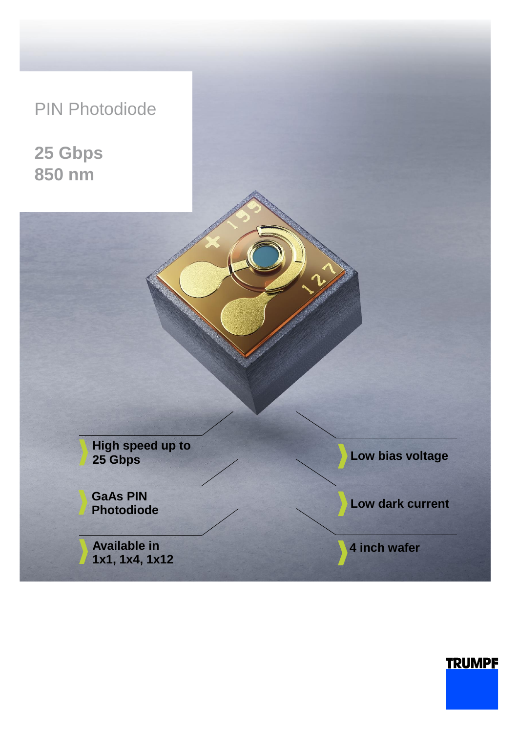## PIN Photodiode

**25 Gbps 850 nm**

> **High speed up to 25 Gbps**

**GaAs PIN Photodiode**

**Available in 1x1, 1x4, 1x12** **Low bias voltage** 

**Low dark current**

**4 inch wafer**